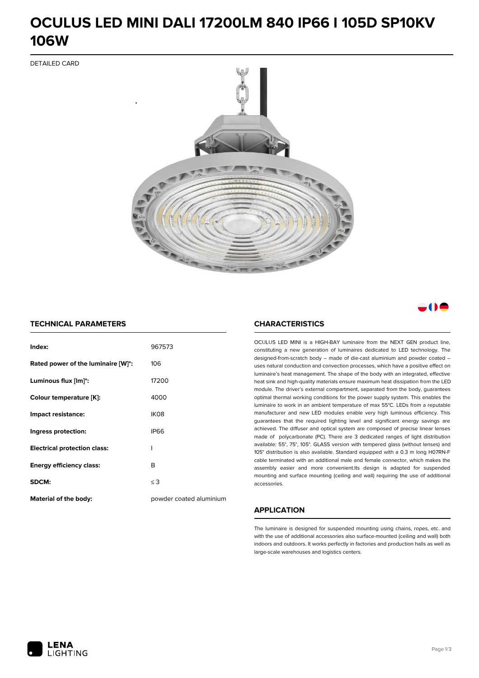# **OCULUS LED MINI DALI 17200LM 840 IP66 I 105D SP10KV 106W**

DETAILED CARD



# a M

### **TECHNICAL PARAMETERS**

| Index:                              | 967573                  |
|-------------------------------------|-------------------------|
| Rated power of the luminaire [W]*:  | 106                     |
| Luminous flux [lm]*:                | 17200                   |
| Colour temperature [K]:             | 4000                    |
| Impact resistance:                  | IK <sub>08</sub>        |
| Ingress protection:                 | <b>IP66</b>             |
| <b>Electrical protection class:</b> | ı                       |
| <b>Energy efficiency class:</b>     | B                       |
| SDCM:                               | $\leq$ 3                |
| <b>Material of the body:</b>        | powder coated aluminium |

### **CHARACTERISTICS**

OCULUS LED MINI is a HIGH-BAY luminaire from the NEXT GEN product line, constituting a new generation of luminaires dedicated to LED technology. The designed-from-scratch body – made of die-cast aluminium and powder coated – uses natural conduction and convection processes, which have a positive effect on luminaire's heat management. The shape of the body with an integrated, effective heat sink and high-quality materials ensure maximum heat dissipation from the LED module. The driver's external compartment, separated from the body, guarantees optimal thermal working conditions for the power supply system. This enables the luminaire to work in an ambient temperature of max 55°C. LEDs from a reputable manufacturer and new LED modules enable very high luminous efficiency. This guarantees that the required lighting level and significant energy savings are achieved. The diffuser and optical system are composed of precise linear lenses made of polycarbonate (PC). There are 3 dedicated ranges of light distribution available: 55°, 75°, 105°. GLASS version with tempered glass (without lenses) and 105° distribution is also available. Standard equipped with a 0.3 m long H07RN-F cable terminated with an additional male and female connector, which makes the assembly easier and more convenient.Its design is adapted for suspended mounting and surface mounting (ceiling and wall) requiring the use of additional accessories.

## **APPLICATION**

The luminaire is designed for suspended mounting using chains, ropes, etc. and with the use of additional accessories also surface-mounted (ceiling and wall) both indoors and outdoors. It works perfectly in factories and production halls as well as large-scale warehouses and logistics centers.

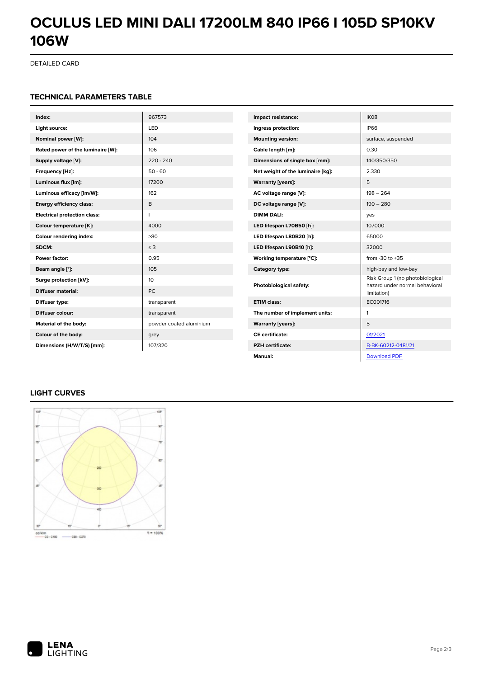# **OCULUS LED MINI DALI 17200LM 840 IP66 I 105D SP10KV 106W**

DETAILED CARD

#### **TECHNICAL PARAMETERS TABLE**

| Index:                              | 967573                  | Impact resistance:                | IK08                                                               |
|-------------------------------------|-------------------------|-----------------------------------|--------------------------------------------------------------------|
| Light source:                       | LED                     | Ingress protection:               | <b>IP66</b>                                                        |
| Nominal power [W]:                  | 104                     | <b>Mounting version:</b>          | surface, suspended                                                 |
| Rated power of the luminaire [W]:   | 106                     | Cable length [m]:                 | 0.30                                                               |
| Supply voltage [V]:                 | $220 - 240$             | Dimensions of single box [mm]:    | 140/350/350                                                        |
| Frequency [Hz]:                     | $50 - 60$               | Net weight of the luminaire [kg]: | 2.330                                                              |
| Luminous flux [lm]:                 | 17200                   | <b>Warranty [years]:</b>          | 5                                                                  |
| Luminous efficacy [lm/W]:           | 162                     | AC voltage range [V]:             | $198 - 264$                                                        |
| <b>Energy efficiency class:</b>     | B                       | DC voltage range [V]:             | $190 - 280$                                                        |
| <b>Electrical protection class:</b> |                         | <b>DIMM DALI:</b>                 | yes                                                                |
| Colour temperature [K]:             | 4000                    | LED lifespan L70B50 [h]:          | 107000                                                             |
| Colour rendering index:             | >80                     | LED lifespan L80B20 [h]:          | 65000                                                              |
| SDCM:                               | $\leq$ 3                | LED lifespan L90B10 [h]:          | 32000                                                              |
| Power factor:                       | 0.95                    | Working temperature [°C]:         | from $-30$ to $+35$                                                |
| Beam angle [°]:                     | 105                     | Category type:                    | high-bay and low-bay                                               |
| Surge protection [kV]:              | 10                      | Photobiological safety:           | Risk Group 1 (no photobiological<br>hazard under normal behavioral |
| <b>Diffuser material:</b>           | PC.                     |                                   | limitation)                                                        |
| Diffuser type:                      | transparent             | <b>ETIM class:</b>                | EC001716                                                           |
| Diffuser colour:                    | transparent             | The number of implement units:    | 1                                                                  |
| Material of the body:               | powder coated aluminium | <b>Warranty [years]:</b>          | 5                                                                  |
| Colour of the body:                 | grey                    | <b>CE</b> certificate:            | 01/2021                                                            |
| Dimensions (H/W/T/S) [mm]:          | 107/320                 | <b>PZH</b> certificate:           | B-BK-60212-0481/21                                                 |
|                                     |                         | Manual:                           | <b>Download PDF</b>                                                |

# **LIGHT CURVES**